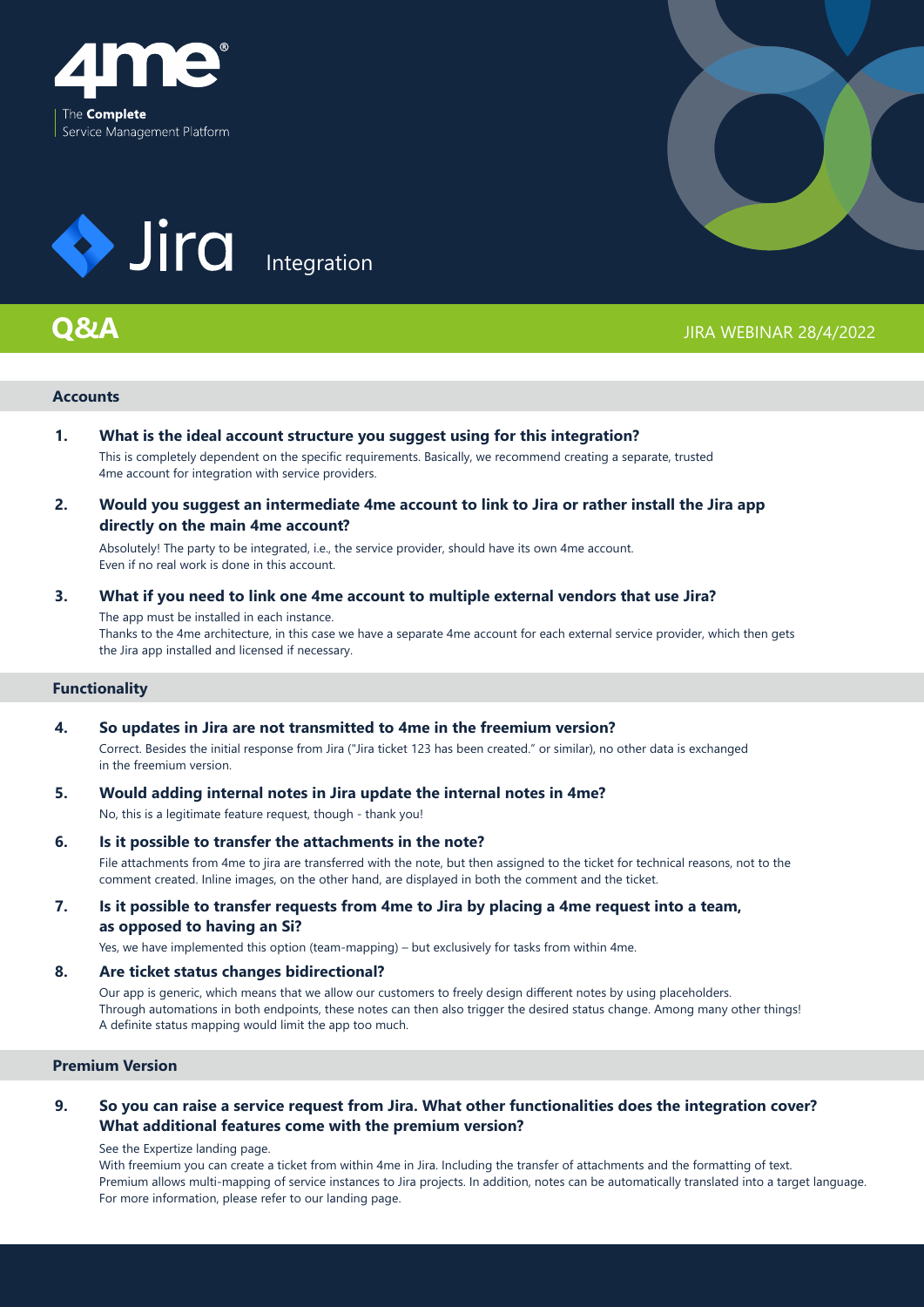



# **Q&A**



## JIRA WEBINAR 28/4/2022

## **Accounts**

- **What is the ideal account structure you suggest using for this integration?**  This is completely dependent on the specific requirements. Basically, we recommend creating a separate, trusted 4me account for integration with service providers. **1.**
- **Would you suggest an intermediate 4me account to link to Jira or rather install the Jira app directly on the main 4me account? 2.**

Absolutely! The party to be integrated, i.e., the service provider, should have its own 4me account. Even if no real work is done in this account.

### **What if you need to link one 4me account to multiple external vendors that use Jira?**  The app must be installed in each instance. **3.**

Thanks to the 4me architecture, in this case we have a separate 4me account for each external service provider, which then gets the Jira app installed and licensed if necessary.

## **Functionality**

- **So updates in Jira are not transmitted to 4me in the freemium version?**  Correct. Besides the initial response from Jira ("Jira ticket 123 has been created." or similar), no other data is exchanged in the freemium version. **4.**
- **Would adding internal notes in Jira update the internal notes in 4me?**  No, this is a legitimate feature request, though - thank you! **5.**
- **Is it possible to transfer the attachments in the note?** File attachments from 4me to jira are transferred with the note, but then assigned to the ticket for technical reasons, not to the comment created. Inline images, on the other hand, are displayed in both the comment and the ticket. **6.**
- **Is it possible to transfer requests from 4me to Jira by placing a 4me request into a team, as opposed to having an Si? 7.**

Yes, we have implemented this option (team-mapping) – but exclusively for tasks from within 4me.

#### **Are ticket status changes bidirectional? 8.**

Our app is generic, which means that we allow our customers to freely design different notes by using placeholders. Through automations in both endpoints, these notes can then also trigger the desired status change. Among many other things! A definite status mapping would limit the app too much.

## **Premium Version**

### **So you can raise a service request from Jira. What other functionalities does the integration cover? What additional features come with the premium version? 9.**

See the Expertize landing page.

With freemium you can create a ticket from within 4me in Jira. Including the transfer of attachments and the formatting of text. Premium allows multi-mapping of service instances to Jira projects. In addition, notes can be automatically translated into a target language. For more information, please refer to our landing page.